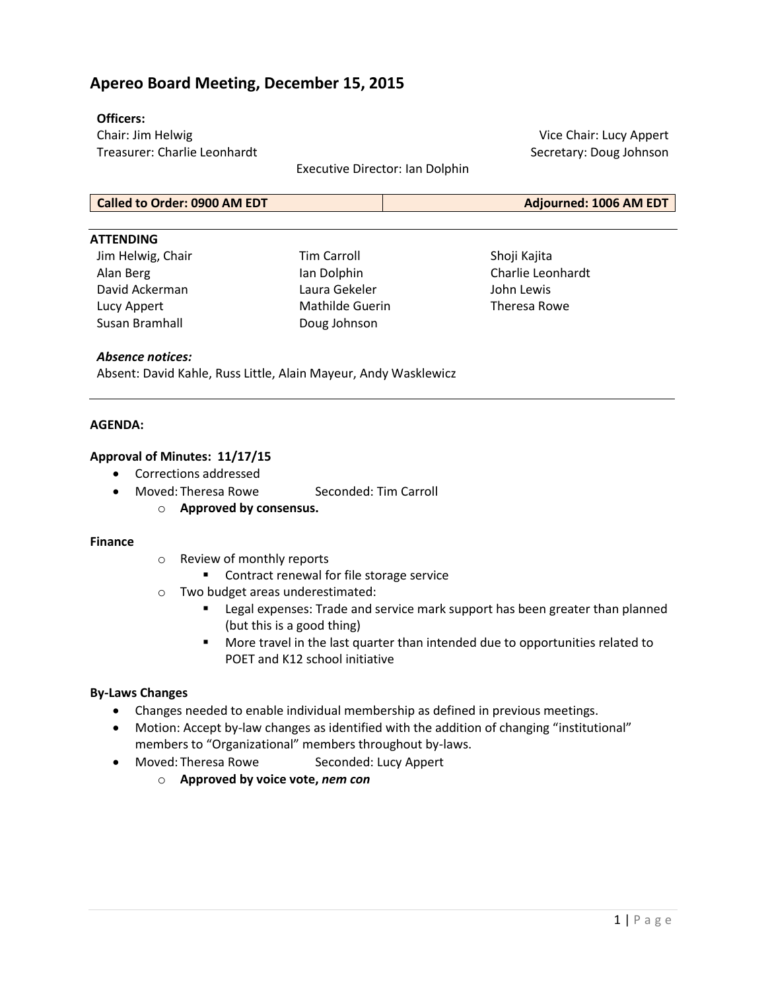# **Apereo Board Meeting, December 15, 2015**

### **Officers:**

Chair: Jim Helwig Treasurer: Charlie Leonhardt

Executive Director: Ian Dolphin

Vice Chair: Lucy Appert Secretary: Doug Johnson

## **Called to Order: 0900 AM EDT Adjourned: 1006 AM EDT**

#### **ATTENDING**

Jim Helwig, Chair Alan Berg David Ackerman Lucy Appert Susan Bramhall

Tim Carroll Ian Dolphin Laura Gekeler Mathilde Guerin Doug Johnson

Shoji Kajita Charlie Leonhardt John Lewis Theresa Rowe

#### *Absence notices:*

Absent: David Kahle, Russ Little, Alain Mayeur, Andy Wasklewicz

#### **AGENDA:**

#### **Approval of Minutes: 11/17/15**

- Corrections addressed
- Moved: Theresa Rowe Seconded: Tim Carroll
	- o **Approved by consensus.**

#### **Finance**

- o Review of monthly reports
	- Contract renewal for file storage service
- o Two budget areas underestimated:
	- **EXP** Legal expenses: Trade and service mark support has been greater than planned (but this is a good thing)
	- More travel in the last quarter than intended due to opportunities related to POET and K12 school initiative

#### **By-Laws Changes**

- Changes needed to enable individual membership as defined in previous meetings.
- Motion: Accept by-law changes as identified with the addition of changing "institutional" members to "Organizational" members throughout by-laws.
- Moved: Theresa Rowe Seconded: Lucy Appert
	- o **Approved by voice vote,** *nem con*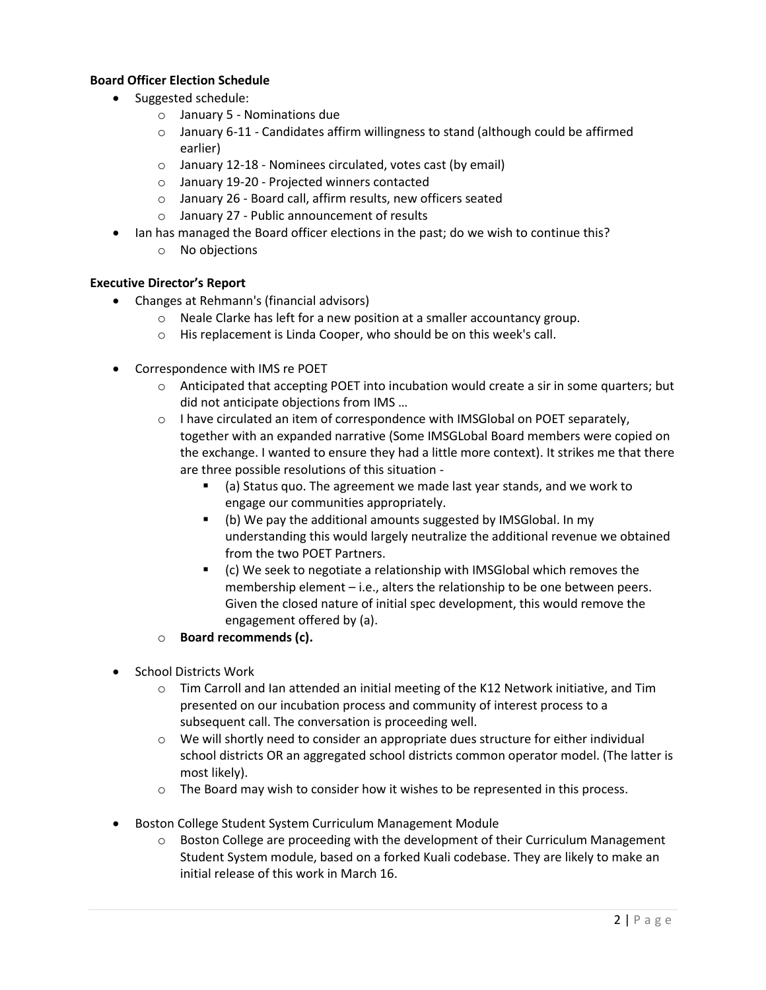## **Board Officer Election Schedule**

- Suggested schedule:
	- o January 5 Nominations due
	- $\circ$  January 6-11 Candidates affirm willingness to stand (although could be affirmed earlier)
	- o January 12-18 Nominees circulated, votes cast (by email)
	- o January 19-20 Projected winners contacted
	- o January 26 Board call, affirm results, new officers seated
	- o January 27 Public announcement of results
- Ian has managed the Board officer elections in the past; do we wish to continue this?
	- o No objections

### **Executive Director's Report**

- Changes at Rehmann's (financial advisors)
	- o Neale Clarke has left for a new position at a smaller accountancy group.
	- o His replacement is Linda Cooper, who should be on this week's call.
- Correspondence with IMS re POET
	- o Anticipated that accepting POET into incubation would create a sir in some quarters; but did not anticipate objections from IMS …
	- $\circ$  I have circulated an item of correspondence with IMSGlobal on POET separately, together with an expanded narrative (Some IMSGLobal Board members were copied on the exchange. I wanted to ensure they had a little more context). It strikes me that there are three possible resolutions of this situation -
		- (a) Status quo. The agreement we made last year stands, and we work to engage our communities appropriately.
		- (b) We pay the additional amounts suggested by IMSGlobal. In my understanding this would largely neutralize the additional revenue we obtained from the two POET Partners.
		- (c) We seek to negotiate a relationship with IMSGlobal which removes the membership element – i.e., alters the relationship to be one between peers. Given the closed nature of initial spec development, this would remove the engagement offered by (a).
	- o **Board recommends (c).**
- School Districts Work
	- $\circ$  Tim Carroll and Ian attended an initial meeting of the K12 Network initiative, and Tim presented on our incubation process and community of interest process to a subsequent call. The conversation is proceeding well.
	- $\circ$  We will shortly need to consider an appropriate dues structure for either individual school districts OR an aggregated school districts common operator model. (The latter is most likely).
	- $\circ$  The Board may wish to consider how it wishes to be represented in this process.
- Boston College Student System Curriculum Management Module
	- $\circ$  Boston College are proceeding with the development of their Curriculum Management Student System module, based on a forked Kuali codebase. They are likely to make an initial release of this work in March 16.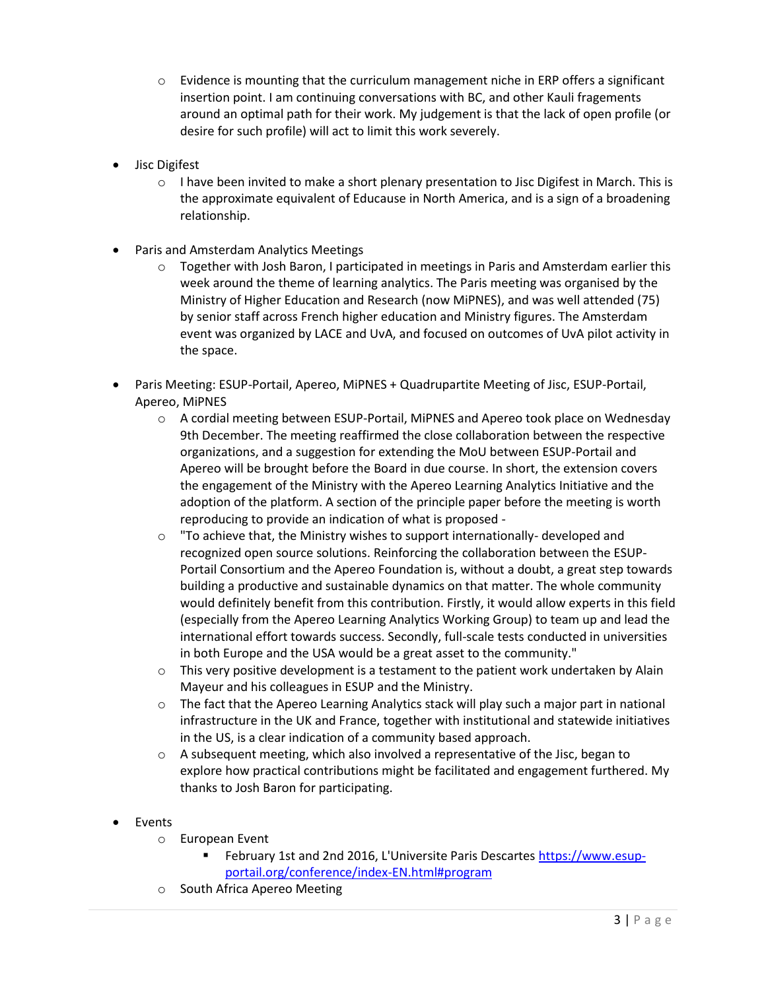- $\circ$  Evidence is mounting that the curriculum management niche in ERP offers a significant insertion point. I am continuing conversations with BC, and other Kauli fragements around an optimal path for their work. My judgement is that the lack of open profile (or desire for such profile) will act to limit this work severely.
- Jisc Digifest
	- $\circ$  I have been invited to make a short plenary presentation to Jisc Digifest in March. This is the approximate equivalent of Educause in North America, and is a sign of a broadening relationship.
- Paris and Amsterdam Analytics Meetings
	- $\circ$  Together with Josh Baron, I participated in meetings in Paris and Amsterdam earlier this week around the theme of learning analytics. The Paris meeting was organised by the Ministry of Higher Education and Research (now MiPNES), and was well attended (75) by senior staff across French higher education and Ministry figures. The Amsterdam event was organized by LACE and UvA, and focused on outcomes of UvA pilot activity in the space.
- Paris Meeting: ESUP-Portail, Apereo, MiPNES + Quadrupartite Meeting of Jisc, ESUP-Portail, Apereo, MiPNES
	- o A cordial meeting between ESUP-Portail, MiPNES and Apereo took place on Wednesday 9th December. The meeting reaffirmed the close collaboration between the respective organizations, and a suggestion for extending the MoU between ESUP-Portail and Apereo will be brought before the Board in due course. In short, the extension covers the engagement of the Ministry with the Apereo Learning Analytics Initiative and the adoption of the platform. A section of the principle paper before the meeting is worth reproducing to provide an indication of what is proposed -
	- o "To achieve that, the Ministry wishes to support internationally- developed and recognized open source solutions. Reinforcing the collaboration between the ESUP‐ Portail Consortium and the Apereo Foundation is, without a doubt, a great step towards building a productive and sustainable dynamics on that matter. The whole community would definitely benefit from this contribution. Firstly, it would allow experts in this field (especially from the Apereo Learning Analytics Working Group) to team up and lead the international effort towards success. Secondly, full-scale tests conducted in universities in both Europe and the USA would be a great asset to the community."
	- $\circ$  This very positive development is a testament to the patient work undertaken by Alain Mayeur and his colleagues in ESUP and the Ministry.
	- o The fact that the Apereo Learning Analytics stack will play such a major part in national infrastructure in the UK and France, together with institutional and statewide initiatives in the US, is a clear indication of a community based approach.
	- $\circ$  A subsequent meeting, which also involved a representative of the Jisc, began to explore how practical contributions might be facilitated and engagement furthered. My thanks to Josh Baron for participating.
- Events
	- o European Event
		- February 1st and 2nd 2016, L'Universite Paris Descartes [https://www.esup](https://www.esup-portail.org/conference/index-EN.html#program)[portail.org/conference/index-EN.html#program](https://www.esup-portail.org/conference/index-EN.html#program)
	- o South Africa Apereo Meeting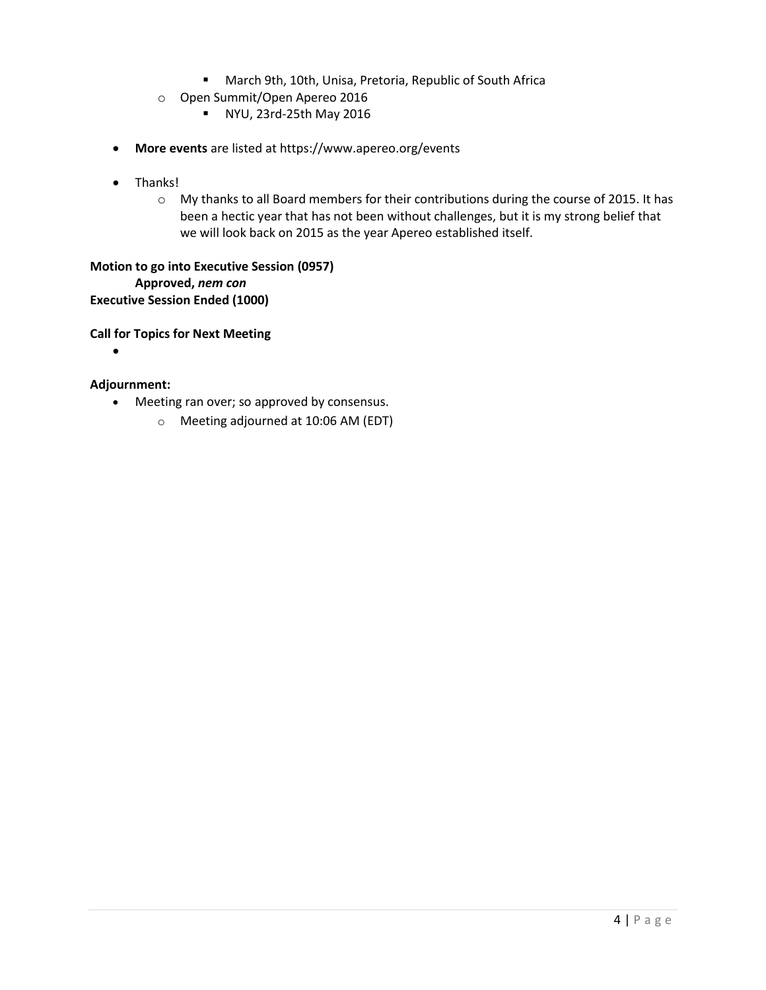- March 9th, 10th, Unisa, Pretoria, Republic of South Africa
- o Open Summit/Open Apereo 2016
	- **NYU, 23rd-25th May 2016**
- **More events** are listed at <https://www.apereo.org/events>
- Thanks!
	- o My thanks to all Board members for their contributions during the course of 2015. It has been a hectic year that has not been without challenges, but it is my strong belief that we will look back on 2015 as the year Apereo established itself.

**Motion to go into Executive Session (0957) Approved,** *nem con* **Executive Session Ended (1000)**

**Call for Topics for Next Meeting**

 $\bullet$ 

### **Adjournment:**

- Meeting ran over; so approved by consensus.
	- o Meeting adjourned at 10:06 AM (EDT)